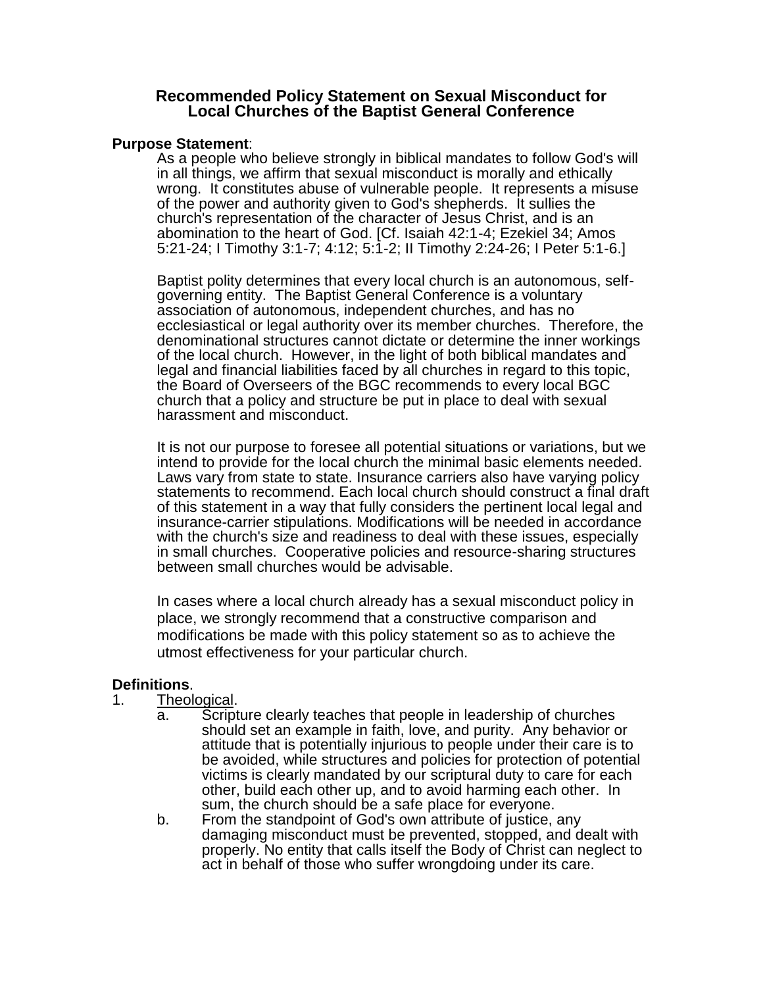## **Recommended Policy Statement on Sexual Misconduct for Local Churches of the Baptist General Conference**

#### **Purpose Statement**:

As a people who believe strongly in biblical mandates to follow God's will in all things, we affirm that sexual misconduct is morally and ethically wrong. It constitutes abuse of vulnerable people. It represents a misuse of the power and authority given to God's shepherds. It sullies the church's representation of the character of Jesus Christ, and is an abomination to the heart of God. [Cf. Isaiah 42:1-4; Ezekiel 34; Amos 5:21-24; I Timothy 3:1-7; 4:12; 5:1-2; II Timothy 2:24-26; I Peter 5:1-6.]

Baptist polity determines that every local church is an autonomous, selfgoverning entity. The Baptist General Conference is a voluntary association of autonomous, independent churches, and has no ecclesiastical or legal authority over its member churches. Therefore, the denominational structures cannot dictate or determine the inner workings of the local church. However, in the light of both biblical mandates and legal and financial liabilities faced by all churches in regard to this topic, the Board of Overseers of the BGC recommends to every local BGC church that a policy and structure be put in place to deal with sexual harassment and misconduct.

It is not our purpose to foresee all potential situations or variations, but we intend to provide for the local church the minimal basic elements needed. Laws vary from state to state. Insurance carriers also have varying policy statements to recommend. Each local church should construct a final draft of this statement in a way that fully considers the pertinent local legal and insurance-carrier stipulations. Modifications will be needed in accordance with the church's size and readiness to deal with these issues, especially in small churches. Cooperative policies and resource-sharing structures between small churches would be advisable.

In cases where a local church already has a sexual misconduct policy in place, we strongly recommend that a constructive comparison and modifications be made with this policy statement so as to achieve the utmost effectiveness for your particular church.

# **Definitions**.

- 1. Theological.
	- a. Scripture clearly teaches that people in leadership of churches should set an example in faith, love, and purity. Any behavior or attitude that is potentially injurious to people under their care is to be avoided, while structures and policies for protection of potential victims is clearly mandated by our scriptural duty to care for each other, build each other up, and to avoid harming each other. In sum, the church should be a safe place for everyone.
		- b. From the standpoint of God's own attribute of justice, any damaging misconduct must be prevented, stopped, and dealt with properly. No entity that calls itself the Body of Christ can neglect to act in behalf of those who suffer wrongdoing under its care.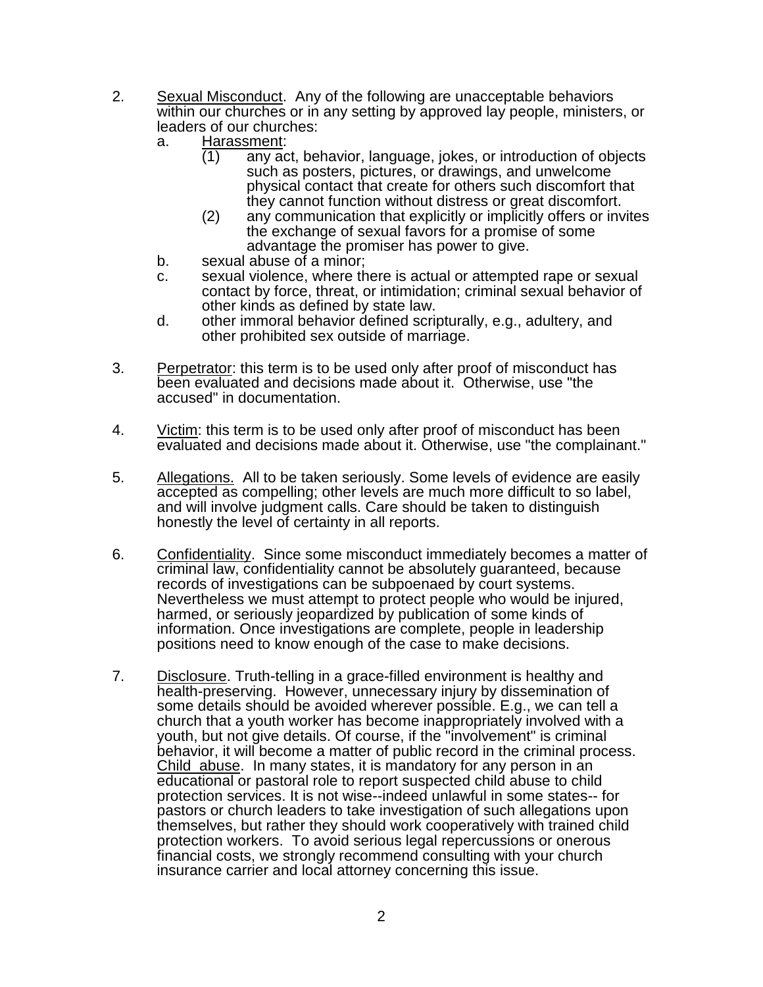- 2. Sexual Misconduct. Any of the following are unacceptable behaviors within our churches or in any setting by approved lay people, ministers, or leaders of our churches:
	- a. Harassment:
		- (1) any act, behavior, language, jokes, or introduction of objects such as posters, pictures, or drawings, and unwelcome physical contact that create for others such discomfort that they cannot function without distress or great discomfort.
		- (2) any communication that explicitly or implicitly offers or invites the exchange of sexual favors for a promise of some advantage the promiser has power to give.
	- b. sexual abuse of a minor;
	- c. sexual violence, where there is actual or attempted rape or sexual contact by force, threat, or intimidation; criminal sexual behavior of other kinds as defined by state law.
	- d. other immoral behavior defined scripturally, e.g., adultery, and other prohibited sex outside of marriage.
- 3. Perpetrator: this term is to be used only after proof of misconduct has been evaluated and decisions made about it. Otherwise, use "the accused" in documentation.
- 4. Victim: this term is to be used only after proof of misconduct has been evaluated and decisions made about it. Otherwise, use "the complainant."
- 5. Allegations. All to be taken seriously. Some levels of evidence are easily accepted as compelling; other levels are much more difficult to so label, and will involve judgment calls. Care should be taken to distinguish honestly the level of certainty in all reports.
- 6. Confidentiality. Since some misconduct immediately becomes a matter of criminal law, confidentiality cannot be absolutely guaranteed, because records of investigations can be subpoenaed by court systems. Nevertheless we must attempt to protect people who would be injured, harmed, or seriously jeopardized by publication of some kinds of information. Once investigations are complete, people in leadership positions need to know enough of the case to make decisions.
- 7. Disclosure. Truth-telling in a grace-filled environment is healthy and health-preserving. However, unnecessary injury by dissemination of some details should be avoided wherever possible. E.g., we can tell a church that a youth worker has become inappropriately involved with a youth, but not give details. Of course, if the "involvement" is criminal behavior, it will become a matter of public record in the criminal process. Child abuse. In many states, it is mandatory for any person in an educational or pastoral role to report suspected child abuse to child protection services. It is not wise--indeed unlawful in some states-- for pastors or church leaders to take investigation of such allegations upon themselves, but rather they should work cooperatively with trained child protection workers. To avoid serious legal repercussions or onerous financial costs, we strongly recommend consulting with your church insurance carrier and local attorney concerning this issue.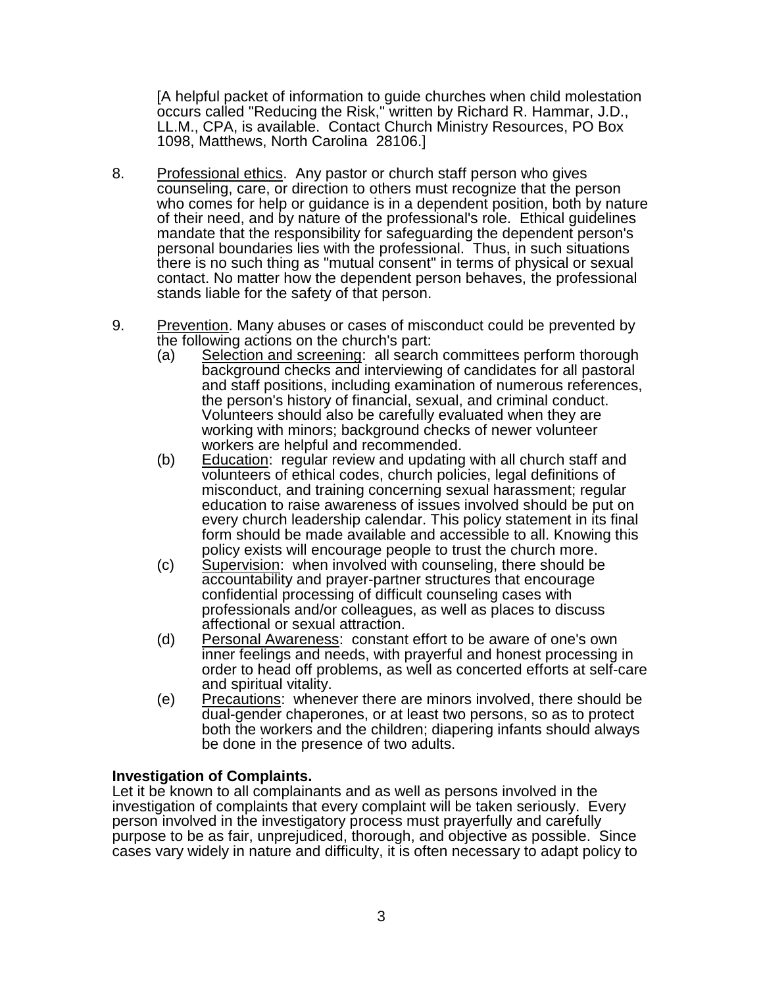[A helpful packet of information to guide churches when child molestation occurs called "Reducing the Risk," written by Richard R. Hammar, J.D., LL.M., CPA, is available. Contact Church Ministry Resources, PO Box 1098, Matthews, North Carolina 28106.]

- 8. Professional ethics. Any pastor or church staff person who gives counseling, care, or direction to others must recognize that the person who comes for help or guidance is in a dependent position, both by nature of their need, and by nature of the professional's role. Ethical guidelines mandate that the responsibility for safeguarding the dependent person's personal boundaries lies with the professional. Thus, in such situations there is no such thing as "mutual consent" in terms of physical or sexual contact. No matter how the dependent person behaves, the professional stands liable for the safety of that person.
- 9. Prevention. Many abuses or cases of misconduct could be prevented by the following actions on the church's part:
	- (a) Selection and screening: all search committees perform thorough background checks and interviewing of candidates for all pastoral and staff positions, including examination of numerous references, the person's history of financial, sexual, and criminal conduct. Volunteers should also be carefully evaluated when they are working with minors; background checks of newer volunteer workers are helpful and recommended.
	- (b) Education: regular review and updating with all church staff and volunteers of ethical codes, church policies, legal definitions of misconduct, and training concerning sexual harassment; regular education to raise awareness of issues involved should be put on every church leadership calendar. This policy statement in its final form should be made available and accessible to all. Knowing this policy exists will encourage people to trust the church more.
	- (c) Supervision: when involved with counseling, there should be accountability and prayer-partner structures that encourage confidential processing of difficult counseling cases with professionals and/or colleagues, as well as places to discuss affectional or sexual attraction.
	- (d) Personal Awareness: constant effort to be aware of one's own inner feelings and needs, with prayerful and honest processing in order to head off problems, as well as concerted efforts at self-care and spiritual vitality.
	- (e) Precautions: whenever there are minors involved, there should be dual-gender chaperones, or at least two persons, so as to protect both the workers and the children; diapering infants should always be done in the presence of two adults.

# **Investigation of Complaints.**

Let it be known to all complainants and as well as persons involved in the investigation of complaints that every complaint will be taken seriously. Every person involved in the investigatory process must prayerfully and carefully purpose to be as fair, unprejudiced, thorough, and objective as possible. Since cases vary widely in nature and difficulty, it is often necessary to adapt policy to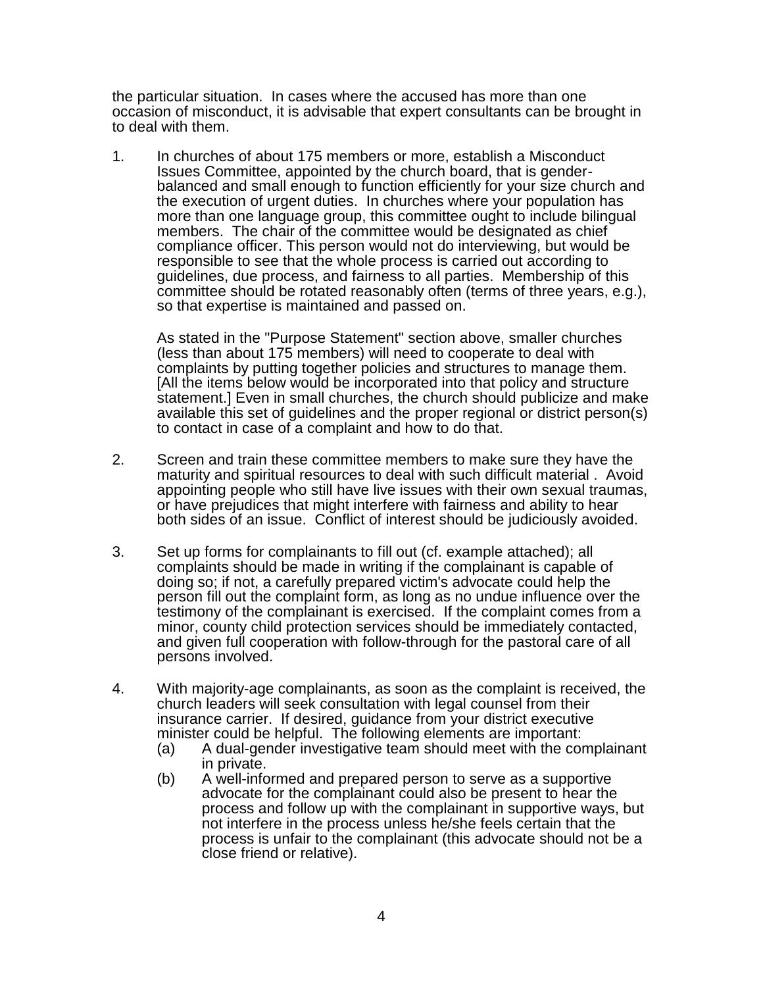the particular situation. In cases where the accused has more than one occasion of misconduct, it is advisable that expert consultants can be brought in to deal with them.

1. In churches of about 175 members or more, establish a Misconduct Issues Committee, appointed by the church board, that is genderbalanced and small enough to function efficiently for your size church and the execution of urgent duties. In churches where your population has more than one language group, this committee ought to include bilingual members. The chair of the committee would be designated as chief compliance officer. This person would not do interviewing, but would be responsible to see that the whole process is carried out according to guidelines, due process, and fairness to all parties. Membership of this committee should be rotated reasonably often (terms of three years, e.g.), so that expertise is maintained and passed on.

As stated in the "Purpose Statement" section above, smaller churches (less than about 175 members) will need to cooperate to deal with complaints by putting together policies and structures to manage them. [All the items below would be incorporated into that policy and structure statement.] Even in small churches, the church should publicize and make available this set of guidelines and the proper regional or district person(s) to contact in case of a complaint and how to do that.

- 2. Screen and train these committee members to make sure they have the maturity and spiritual resources to deal with such difficult material . Avoid appointing people who still have live issues with their own sexual traumas, or have prejudices that might interfere with fairness and ability to hear both sides of an issue. Conflict of interest should be judiciously avoided.
- 3. Set up forms for complainants to fill out (cf. example attached); all complaints should be made in writing if the complainant is capable of doing so; if not, a carefully prepared victim's advocate could help the person fill out the complaint form, as long as no undue influence over the testimony of the complainant is exercised. If the complaint comes from a minor, county child protection services should be immediately contacted, and given full cooperation with follow-through for the pastoral care of all persons involved.
- 4. With majority-age complainants, as soon as the complaint is received, the church leaders will seek consultation with legal counsel from their insurance carrier. If desired, guidance from your district executive minister could be helpful. The following elements are important:
	- (a) A dual-gender investigative team should meet with the complainant in private.
	- (b) A well-informed and prepared person to serve as a supportive advocate for the complainant could also be present to hear the process and follow up with the complainant in supportive ways, but not interfere in the process unless he/she feels certain that the process is unfair to the complainant (this advocate should not be a close friend or relative).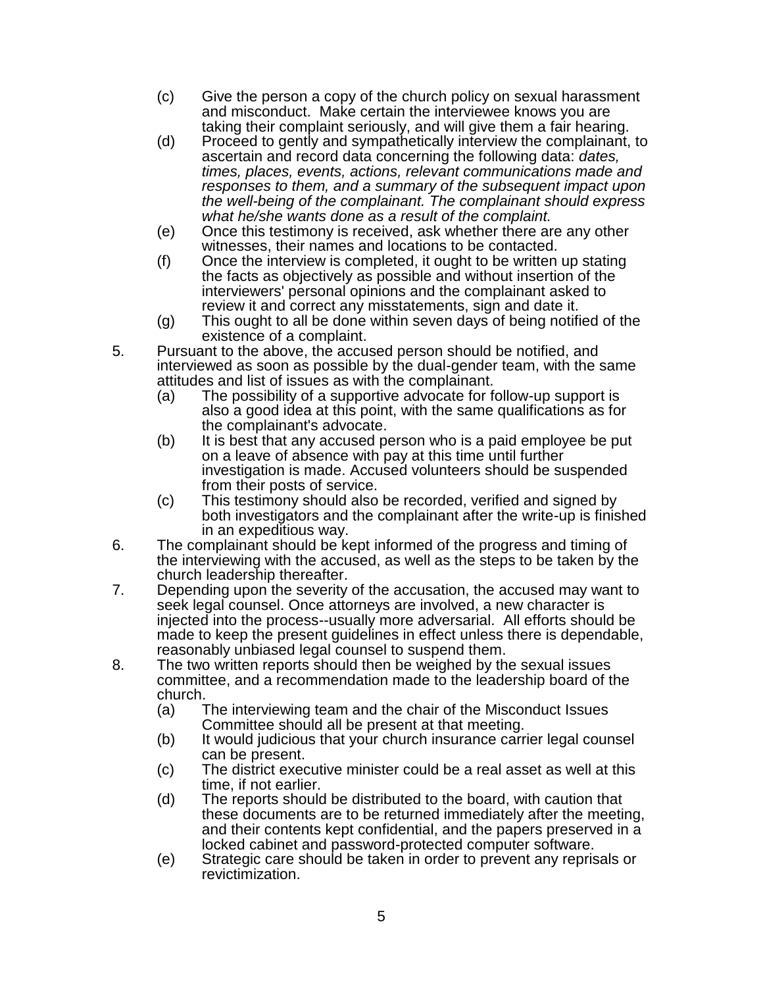- (c) Give the person a copy of the church policy on sexual harassment and misconduct. Make certain the interviewee knows you are taking their complaint seriously, and will give them a fair hearing.
- (d) Proceed to gently and sympathetically interview the complainant, to ascertain and record data concerning the following data: *dates, times, places, events, actions, relevant communications made and responses to them, and a summary of the subsequent impact upon the well-being of the complainant. The complainant should express what he/she wants done as a result of the complaint.*
- (e) Once this testimony is received, ask whether there are any other witnesses, their names and locations to be contacted.
- (f) Once the interview is completed, it ought to be written up stating the facts as objectively as possible and without insertion of the interviewers' personal opinions and the complainant asked to review it and correct any misstatements, sign and date it.
- (g) This ought to all be done within seven days of being notified of the existence of a complaint.
- 5. Pursuant to the above, the accused person should be notified, and interviewed as soon as possible by the dual-gender team, with the same attitudes and list of issues as with the complainant.
	- (a) The possibility of a supportive advocate for follow-up support is also a good idea at this point, with the same qualifications as for the complainant's advocate.
	- (b) It is best that any accused person who is a paid employee be put on a leave of absence with pay at this time until further investigation is made. Accused volunteers should be suspended from their posts of service.
	- (c) This testimony should also be recorded, verified and signed by both investigators and the complainant after the write-up is finished in an expeditious way.
- 6. The complainant should be kept informed of the progress and timing of the interviewing with the accused, as well as the steps to be taken by the church leadership thereafter.
- 7. Depending upon the severity of the accusation, the accused may want to seek legal counsel. Once attorneys are involved, a new character is injected into the process--usually more adversarial. All efforts should be made to keep the present guidelines in effect unless there is dependable, reasonably unbiased legal counsel to suspend them.
- 8. The two written reports should then be weighed by the sexual issues committee, and a recommendation made to the leadership board of the church.
	- (a) The interviewing team and the chair of the Misconduct Issues Committee should all be present at that meeting.
	- (b) It would judicious that your church insurance carrier legal counsel can be present.
	- (c) The district executive minister could be a real asset as well at this time, if not earlier.
	- (d) The reports should be distributed to the board, with caution that these documents are to be returned immediately after the meeting, and their contents kept confidential, and the papers preserved in a locked cabinet and password-protected computer software.
	- (e) Strategic care should be taken in order to prevent any reprisals or revictimization.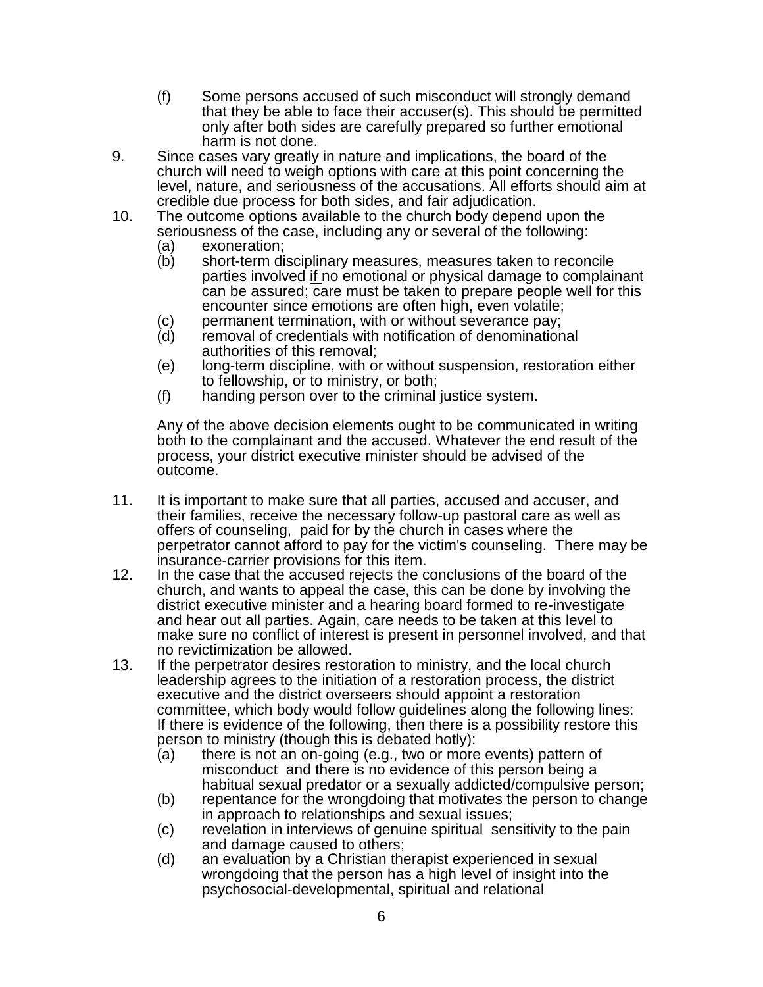- (f) Some persons accused of such misconduct will strongly demand that they be able to face their accuser(s). This should be permitted only after both sides are carefully prepared so further emotional harm is not done.
- 9. Since cases vary greatly in nature and implications, the board of the church will need to weigh options with care at this point concerning the level, nature, and seriousness of the accusations. All efforts should aim at credible due process for both sides, and fair adjudication.
- 10. The outcome options available to the church body depend upon the seriousness of the case, including any or several of the following:
	-
	- (a) exoneration;<br>(b) short-term di short-term disciplinary measures, measures taken to reconcile parties involved if no emotional or physical damage to complainant can be assured; care must be taken to prepare people well for this encounter since emotions are often high, even volatile;
	- (c) permanent termination, with or without severance pay;<br>(d) removal of credentials with notification of denomination
	- removal of credentials with notification of denominational authorities of this removal;
	- (e) long-term discipline, with or without suspension, restoration either to fellowship, or to ministry, or both;
	- (f) handing person over to the criminal justice system.

Any of the above decision elements ought to be communicated in writing both to the complainant and the accused. Whatever the end result of the process, your district executive minister should be advised of the outcome.

- 11. It is important to make sure that all parties, accused and accuser, and their families, receive the necessary follow-up pastoral care as well as offers of counseling, paid for by the church in cases where the perpetrator cannot afford to pay for the victim's counseling. There may be insurance-carrier provisions for this item.
- 12. In the case that the accused rejects the conclusions of the board of the church, and wants to appeal the case, this can be done by involving the district executive minister and a hearing board formed to re-investigate and hear out all parties. Again, care needs to be taken at this level to make sure no conflict of interest is present in personnel involved, and that no revictimization be allowed.
- 13. If the perpetrator desires restoration to ministry, and the local church leadership agrees to the initiation of a restoration process, the district executive and the district overseers should appoint a restoration committee, which body would follow guidelines along the following lines: If there is evidence of the following, then there is a possibility restore this person to ministry (though this is debated hotly):
	- (a) there is not an on-going (e.g., two or more events) pattern of misconduct and there is no evidence of this person being a habitual sexual predator or a sexually addicted/compulsive person;
	- (b) repentance for the wrongdoing that motivates the person to change in approach to relationships and sexual issues;
	- (c) revelation in interviews of genuine spiritual sensitivity to the pain and damage caused to others;
	- (d) an evaluation by a Christian therapist experienced in sexual wrongdoing that the person has a high level of insight into the psychosocial-developmental, spiritual and relational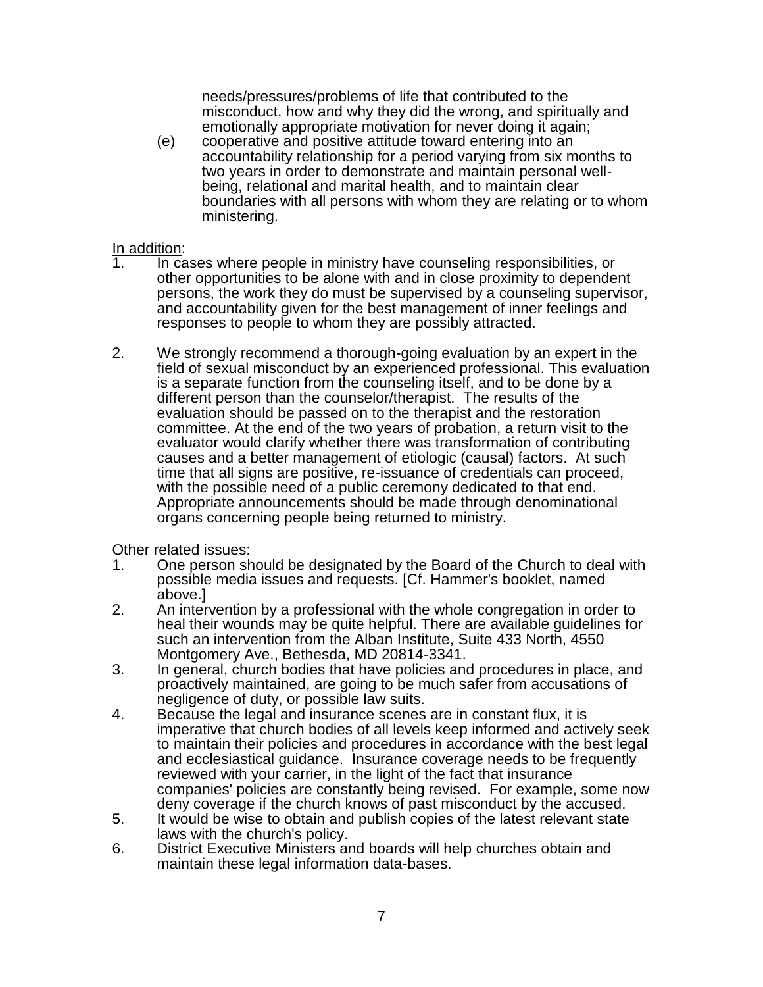needs/pressures/problems of life that contributed to the misconduct, how and why they did the wrong, and spiritually and emotionally appropriate motivation for never doing it again;

(e) cooperative and positive attitude toward entering into an accountability relationship for a period varying from six months to two years in order to demonstrate and maintain personal wellbeing, relational and marital health, and to maintain clear boundaries with all persons with whom they are relating or to whom ministering.

# In addition:<br>1. In ca

- In cases where people in ministry have counseling responsibilities, or other opportunities to be alone with and in close proximity to dependent persons, the work they do must be supervised by a counseling supervisor, and accountability given for the best management of inner feelings and responses to people to whom they are possibly attracted.
- 2. We strongly recommend a thorough-going evaluation by an expert in the field of sexual misconduct by an experienced professional. This evaluation is a separate function from the counseling itself, and to be done by a different person than the counselor/therapist. The results of the evaluation should be passed on to the therapist and the restoration committee. At the end of the two years of probation, a return visit to the evaluator would clarify whether there was transformation of contributing causes and a better management of etiologic (causal) factors. At such time that all signs are positive, re-issuance of credentials can proceed, with the possible need of a public ceremony dedicated to that end. Appropriate announcements should be made through denominational organs concerning people being returned to ministry.

Other related issues:

- 1. One person should be designated by the Board of the Church to deal with possible media issues and requests. [Cf. Hammer's booklet, named above.]
- 2. An intervention by a professional with the whole congregation in order to heal their wounds may be quite helpful. There are available guidelines for such an intervention from the Alban Institute, Suite 433 North, 4550 Montgomery Ave., Bethesda, MD 20814-3341.
- 3. In general, church bodies that have policies and procedures in place, and proactively maintained, are going to be much safer from accusations of negligence of duty, or possible law suits.
- 4. Because the legal and insurance scenes are in constant flux, it is imperative that church bodies of all levels keep informed and actively seek to maintain their policies and procedures in accordance with the best legal and ecclesiastical guidance. Insurance coverage needs to be frequently reviewed with your carrier, in the light of the fact that insurance companies' policies are constantly being revised. For example, some now deny coverage if the church knows of past misconduct by the accused.
- 5. It would be wise to obtain and publish copies of the latest relevant state laws with the church's policy.
- 6. District Executive Ministers and boards will help churches obtain and maintain these legal information data-bases.